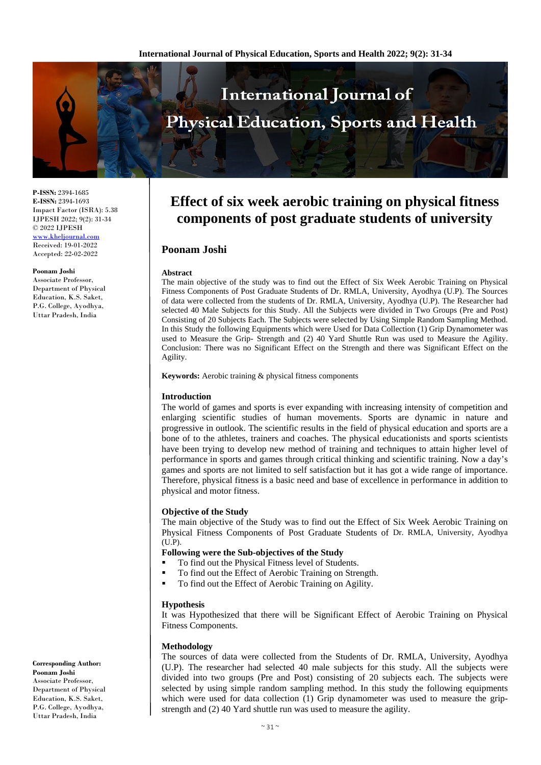

**P-ISSN:** 2394-1685 **E-ISSN:** 2394-1693 Impact Factor (ISRA): 5.38 IJPESH 2022; 9(2): 31-34 © 2022 IJPESH [www.kheljournal.com](http://www.kheljournal.com/)

Received: 19-01-2022 Accepted: 22-02-2022

#### **Poonam Joshi**

Associate Professor, Department of Physical Education, K.S. Saket, P.G. College, Ayodhya, Uttar Pradesh, India

**Corresponding Author: Poonam Joshi** Associate Professor, Department of Physical Education, K.S. Saket, P.G. College, Ayodhya, Uttar Pradesh, India

# **Effect of six week aerobic training on physical fitness components of post graduate students of university**

## **Poonam Joshi**

#### **Abstract**

The main objective of the study was to find out the Effect of Six Week Aerobic Training on Physical Fitness Components of Post Graduate Students of Dr. RMLA, University, Ayodhya (U.P). The Sources of data were collected from the students of Dr. RMLA, University, Ayodhya (U.P). The Researcher had selected 40 Male Subjects for this Study. All the Subjects were divided in Two Groups (Pre and Post) Consisting of 20 Subjects Each. The Subjects were selected by Using Simple Random Sampling Method. In this Study the following Equipments which were Used for Data Collection (1) Grip Dynamometer was used to Measure the Grip- Strength and (2) 40 Yard Shuttle Run was used to Measure the Agility. Conclusion: There was no Significant Effect on the Strength and there was Significant Effect on the Agility.

**Keywords:** Aerobic training & physical fitness components

### **Introduction**

The world of games and sports is ever expanding with increasing intensity of competition and enlarging scientific studies of human movements. Sports are dynamic in nature and progressive in outlook. The scientific results in the field of physical education and sports are a bone of to the athletes, trainers and coaches. The physical educationists and sports scientists have been trying to develop new method of training and techniques to attain higher level of performance in sports and games through critical thinking and scientific training. Now a day's games and sports are not limited to self satisfaction but it has got a wide range of importance. Therefore, physical fitness is a basic need and base of excellence in performance in addition to physical and motor fitness.

## **Objective of the Study**

The main objective of the Study was to find out the Effect of Six Week Aerobic Training on Physical Fitness Components of Post Graduate Students of Dr. RMLA, University, Ayodhya (U.P).

## **Following were the Sub-objectives of the Study**

- To find out the Physical Fitness level of Students.
- To find out the Effect of Aerobic Training on Strength.
- To find out the Effect of Aerobic Training on Agility.

### **Hypothesis**

It was Hypothesized that there will be Significant Effect of Aerobic Training on Physical Fitness Components.

### **Methodology**

The sources of data were collected from the Students of Dr. RMLA, University, Ayodhya (U.P). The researcher had selected 40 male subjects for this study. All the subjects were divided into two groups (Pre and Post) consisting of 20 subjects each. The subjects were selected by using simple random sampling method. In this study the following equipments which were used for data collection (1) Grip dynamometer was used to measure the gripstrength and (2) 40 Yard shuttle run was used to measure the agility.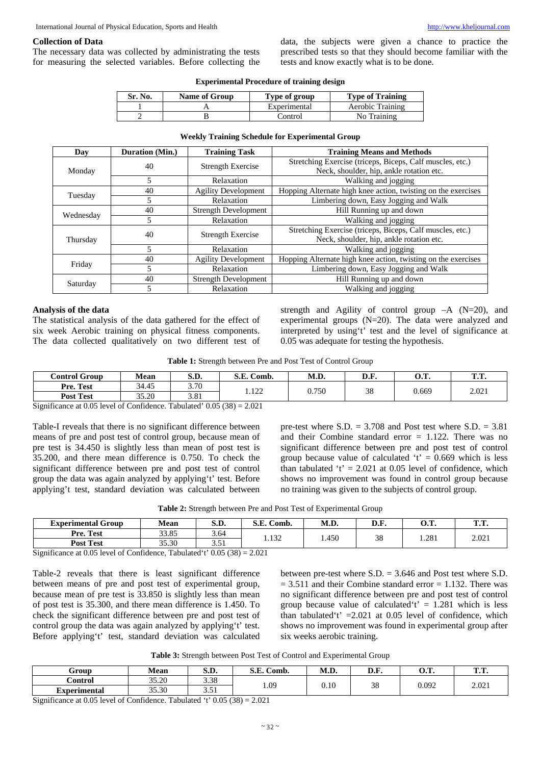## **Collection of Data**

The necessary data was collected by administrating the tests for measuring the selected variables. Before collecting the data, the subjects were given a chance to practice the prescribed tests so that they should become familiar with the tests and know exactly what is to be done.

| <b>Experimental Procedure of training design</b> |  |
|--------------------------------------------------|--|
|--------------------------------------------------|--|

| Sr. No. | <b>Name of Group</b> | Type of group | <b>Type of Training</b> |
|---------|----------------------|---------------|-------------------------|
|         |                      | Experimental  | Aerobic Training        |
|         |                      | Control       | No Training             |

#### **Weekly Training Schedule for Experimental Group**

| Day                          | Duration (Min.) | <b>Training Task</b>        | <b>Training Means and Methods</b>                             |
|------------------------------|-----------------|-----------------------------|---------------------------------------------------------------|
|                              | 40              | <b>Strength Exercise</b>    | Stretching Exercise (triceps, Biceps, Calf muscles, etc.)     |
| Monday                       |                 |                             | Neck, shoulder, hip, ankle rotation etc.                      |
|                              | 5               | Relaxation                  | Walking and jogging                                           |
|                              | 40              | <b>Agility Development</b>  | Hopping Alternate high knee action, twisting on the exercises |
| Tuesday                      | 5               | Relaxation                  | Limbering down, Easy Jogging and Walk                         |
|                              | 40              | <b>Strength Development</b> | Hill Running up and down                                      |
| Wednesday<br>Relaxation<br>5 |                 |                             | Walking and jogging                                           |
|                              | 40              | <b>Strength Exercise</b>    | Stretching Exercise (triceps, Biceps, Calf muscles, etc.)     |
| Thursday                     |                 |                             | Neck, shoulder, hip, ankle rotation etc.                      |
|                              | 5               | Relaxation                  | Walking and jogging                                           |
| Friday                       | 40              | <b>Agility Development</b>  | Hopping Alternate high knee action, twisting on the exercises |
|                              | 5.              | Relaxation                  | Limbering down, Easy Jogging and Walk                         |
|                              | 40              | <b>Strength Development</b> | Hill Running up and down                                      |
| Saturday                     | 5               | Relaxation                  | Walking and jogging                                           |

#### **Analysis of the data**

The statistical analysis of the data gathered for the effect of six week Aerobic training on physical fitness components. The data collected qualitatively on two different test of

strength and Agility of control group  $-A$  (N=20), and experimental groups (N=20). The data were analyzed and interpreted by using't' test and the level of significance at 0.05 was adequate for testing the hypothesis.

**Table 1:** Strength between Pre and Post Test of Control Group

| Control Group    | <b>Mean</b> | $\alpha$ m<br>S.D. | C T<br>Comb.<br>э. в. | M.D.  | D.F.   | $\sim$ $\blacksquare$<br>v. | <b>THE TIME</b><br> |
|------------------|-------------|--------------------|-----------------------|-------|--------|-----------------------------|---------------------|
| Pre. Test        | 34.45       | 3.70               | 122                   | 0.750 | $\sim$ |                             |                     |
| <b>Post Test</b> | 35.20       | 201<br>3.01        | .                     |       | 20     | 0.669                       | 2.021               |

Significance at 0.05 level of Confidence. Tabulated' 0.05 (38) = 2.021

Table-I reveals that there is no significant difference between means of pre and post test of control group, because mean of pre test is 34.450 is slightly less than mean of post test is 35.200, and there mean difference is 0.750. To check the significant difference between pre and post test of control group the data was again analyzed by applying't' test. Before applying't test, standard deviation was calculated between

pre-test where  $S.D. = 3.708$  and Post test where  $S.D. = 3.81$ and their Combine standard error  $= 1.122$ . There was no significant difference between pre and post test of control group because value of calculated ' $t' = 0.669$  which is less than tabulated 't'  $= 2.021$  at 0.05 level of confidence, which shows no improvement was found in control group because no training was given to the subjects of control group.

|  | Table 2: Strength between Pre and Post Test of Experimental Group |  |  |  |  |  |
|--|-------------------------------------------------------------------|--|--|--|--|--|
|  |                                                                   |  |  |  |  |  |

| <b>Experimental Group</b> | Mean  | S.D.                             | S.E.<br>Comb. | M.D.  | v.r. | <u>Δ</u> π<br>v.s. | m m<br> |
|---------------------------|-------|----------------------------------|---------------|-------|------|--------------------|---------|
| Pre. Test                 | 33.85 | 3.64                             | 1.132         | 1.450 | 38   | 1.281              | 2.021   |
| <b>Post Test</b>          | 35.30 | $\overline{\phantom{a}}$<br>2. ب |               |       |      |                    |         |

Significance at 0.05 level of Confidence, Tabulated't'  $0.05(38) = 2.021$ 

Table-2 reveals that there is least significant difference between means of pre and post test of experimental group, because mean of pre test is 33.850 is slightly less than mean of post test is 35.300, and there mean difference is 1.450. To check the significant difference between pre and post test of control group the data was again analyzed by applying't' test. Before applying't' test, standard deviation was calculated between pre-test where S.D. = 3.646 and Post test where S.D.  $= 3.511$  and their Combine standard error  $= 1.132$ . There was no significant difference between pre and post test of control group because value of calculated  $t' = 1.281$  which is less than tabulated't'  $=2.021$  at 0.05 level of confidence, which shows no improvement was found in experimental group after six weeks aerobic training.

**Table 3:** Strength between Post Test of Control and Experimental Group

| Group               | ъ п<br><b>Mean</b> | $\alpha$ D<br>J.V. | $\gamma$ m<br>Comb.<br>J.L. | M.D. | D.F.     | $\sim$ $\pi$<br>v. | m m<br>. |
|---------------------|--------------------|--------------------|-----------------------------|------|----------|--------------------|----------|
| .`ontrol            | 35.20              | 3.38               | 1.09                        |      | $\Omega$ |                    | 2.021    |
| <b>Experimental</b> | 35.30              | $-1$<br><u>.</u>   |                             | 0.10 | JU       | 0.092              |          |

Significance at 0.05 level of Confidence. Tabulated 't' 0.05 (38) = 2.021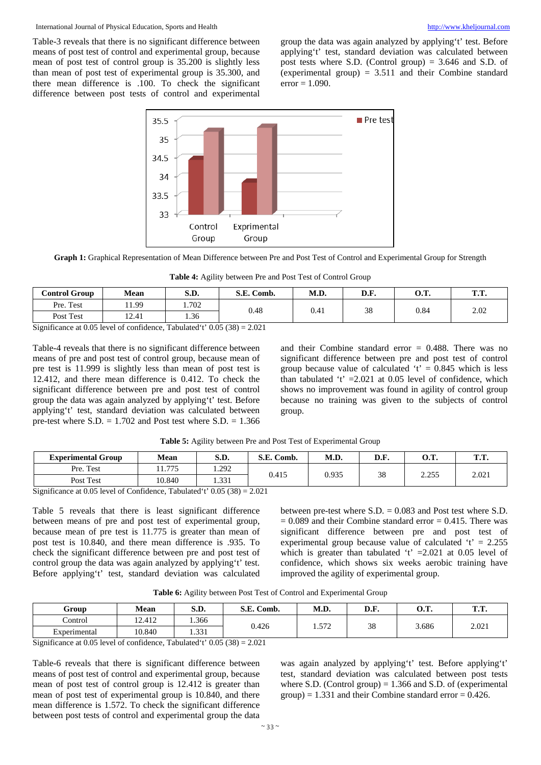#### International Journal of Physical Education, Sports and Health [http://www.kheljournal.com](http://www.kheljournal.com/)

Table-3 reveals that there is no significant difference between means of post test of control and experimental group, because mean of post test of control group is 35.200 is slightly less than mean of post test of experimental group is 35.300, and there mean difference is .100. To check the significant difference between post tests of control and experimental

group the data was again analyzed by applying't' test. Before applying't' test, standard deviation was calculated between post tests where S.D. (Control group) = 3.646 and S.D. of (experimental group) = 3.511 and their Combine standard  $error = 1.090$ .



**Graph 1:** Graphical Representation of Mean Difference between Pre and Post Test of Control and Experimental Group for Strength

**Table 4:** Agility between Pre and Post Test of Control Group

| <b>Control Group</b>               | Mean     | S.D.                                  | S.E. Comb. | M.D. | D.F. | л т<br>v. | ጥጥ<br> |
|------------------------------------|----------|---------------------------------------|------------|------|------|-----------|--------|
| Pre. Test                          | 1.99     | 1.702                                 | 0.48       | 0.41 | 38   | 0.84      | 2.02   |
| Post Test                          | 12.41    | 1.36                                  |            |      |      |           |        |
| $\mathbf{C}$ $\mathbf{C}$<br>.0071 | $\sim$ 1 | $T = 1 + 1$ $(1 + 0.07/00)$ $(20.01)$ |            |      |      |           |        |

Significance at 0.05 level of confidence, Tabulated't' 0.05 (38) = 2.021

Table-4 reveals that there is no significant difference between means of pre and post test of control group, because mean of pre test is 11.999 is slightly less than mean of post test is 12.412, and there mean difference is 0.412. To check the significant difference between pre and post test of control group the data was again analyzed by applying't' test. Before applying't' test, standard deviation was calculated between pre-test where  $S.D. = 1.702$  and Post test where  $S.D. = 1.366$ 

and their Combine standard error = 0.488. There was no significant difference between pre and post test of control group because value of calculated ' $t' = 0.845$  which is less than tabulated 't'  $=2.021$  at 0.05 level of confidence, which shows no improvement was found in agility of control group because no training was given to the subjects of control group.

**Table 5:** Agility between Pre and Post Test of Experimental Group

| <b>Experimental Group</b>                                                                                                                                                                         | Mean   | S.D.  | S.E. Comb. | M.D.  | D.F. | <b>O.T.</b> | ጥጥ<br> |
|---------------------------------------------------------------------------------------------------------------------------------------------------------------------------------------------------|--------|-------|------------|-------|------|-------------|--------|
| Pre. Test                                                                                                                                                                                         | 1.775  | .292  | 0.415      |       | 38   | 2.255       | 2.021  |
| Post Test                                                                                                                                                                                         | 10.840 | 1.331 |            | 0.935 |      |             |        |
| $\mathcal{C}_{i}$ on fragment $\mathcal{C}_{i}$ of $\mathcal{C}_{i}$ of $\mathcal{C}_{i}$ on $\mathcal{C}_{i}$ denotes $\mathcal{C}_{i}$ and $\mathcal{C}_{i}$ and $\mathcal{C}_{i}$ (20) = 2.021 |        |       |            |       |      |             |        |

Significance at 0.05 level of Confidence, Tabulated't' 0.05 (38) = 2.021

Table 5 reveals that there is least significant difference between means of pre and post test of experimental group, because mean of pre test is 11.775 is greater than mean of post test is 10.840, and there mean difference is .935. To check the significant difference between pre and post test of control group the data was again analyzed by applying't' test. Before applying't' test, standard deviation was calculated between pre-test where S.D. = 0.083 and Post test where S.D.  $= 0.089$  and their Combine standard error  $= 0.415$ . There was significant difference between pre and post test of experimental group because value of calculated  $t' = 2.255$ which is greater than tabulated 't'  $=2.021$  at 0.05 level of confidence, which shows six weeks aerobic training have improved the agility of experimental group.

| Table 6: Agility between Post Test of Control and Experimental Group |  |  |  |  |
|----------------------------------------------------------------------|--|--|--|--|
|----------------------------------------------------------------------|--|--|--|--|

| Group        | <b>Mean</b> | S.D.  | S.E. Comb. | M.D. | D.F. | ∩ ™<br>v. | <b>CD CD</b><br>. |
|--------------|-------------|-------|------------|------|------|-----------|-------------------|
| Control      | 12.412      | 1.366 | 0.426      | 572  | 38   | 3.686     | 2.021             |
| Experimental | 10.840      | 1.331 |            | .914 |      |           |                   |

Significance at 0.05 level of confidence, Tabulated't'  $0.05(38) = 2.021$ 

Table-6 reveals that there is significant difference between means of post test of control and experimental group, because mean of post test of control group is 12.412 is greater than mean of post test of experimental group is 10.840, and there mean difference is 1.572. To check the significant difference between post tests of control and experimental group the data

was again analyzed by applying't' test. Before applying't' test, standard deviation was calculated between post tests where S.D. (Control group)  $= 1.366$  and S.D. of (experimental group) =  $1.331$  and their Combine standard error =  $0.426$ .